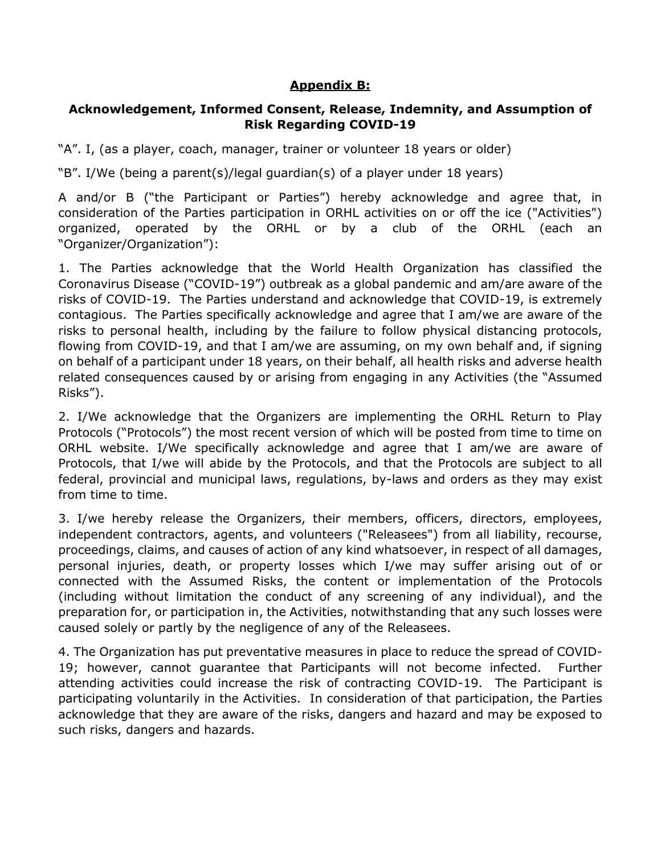## **Appendix B:**

## **Acknowledgement, Informed Consent, Release, Indemnity, and Assumption of Risk Regarding COVID-19**

"A". I, (as a player, coach, manager, trainer or volunteer 18 years or older)

"B". I/We (being a parent(s)/legal guardian(s) of a player under 18 years)

A and/or B ("the Participant or Parties") hereby acknowledge and agree that, in consideration of the Parties participation in ORHL activities on or off the ice ("Activities") organized, operated by the ORHL or by a club of the ORHL (each an "Organizer/Organization"):

1. The Parties acknowledge that the World Health Organization has classified the Coronavirus Disease ("COVID-19") outbreak as a global pandemic and am/are aware of the risks of COVID-19. The Parties understand and acknowledge that COVID-19, is extremely contagious. The Parties specifically acknowledge and agree that I am/we are aware of the risks to personal health, including by the failure to follow physical distancing protocols, flowing from COVID-19, and that I am/we are assuming, on my own behalf and, if signing on behalf of a participant under 18 years, on their behalf, all health risks and adverse health related consequences caused by or arising from engaging in any Activities (the "Assumed Risks").

2. I/We acknowledge that the Organizers are implementing the ORHL Return to Play Protocols ("Protocols") the most recent version of which will be posted from time to time on ORHL website. I/We specifically acknowledge and agree that I am/we are aware of Protocols, that I/we will abide by the Protocols, and that the Protocols are subject to all federal, provincial and municipal laws, regulations, by-laws and orders as they may exist from time to time.

3. I/we hereby release the Organizers, their members, officers, directors, employees, independent contractors, agents, and volunteers ("Releasees") from all liability, recourse, proceedings, claims, and causes of action of any kind whatsoever, in respect of all damages, personal injuries, death, or property losses which I/we may suffer arising out of or connected with the Assumed Risks, the content or implementation of the Protocols (including without limitation the conduct of any screening of any individual), and the preparation for, or participation in, the Activities, notwithstanding that any such losses were caused solely or partly by the negligence of any of the Releasees.

4. The Organization has put preventative measures in place to reduce the spread of COVID-19; however, cannot guarantee that Participants will not become infected. Further attending activities could increase the risk of contracting COVID-19. The Participant is participating voluntarily in the Activities. In consideration of that participation, the Parties acknowledge that they are aware of the risks, dangers and hazard and may be exposed to such risks, dangers and hazards.